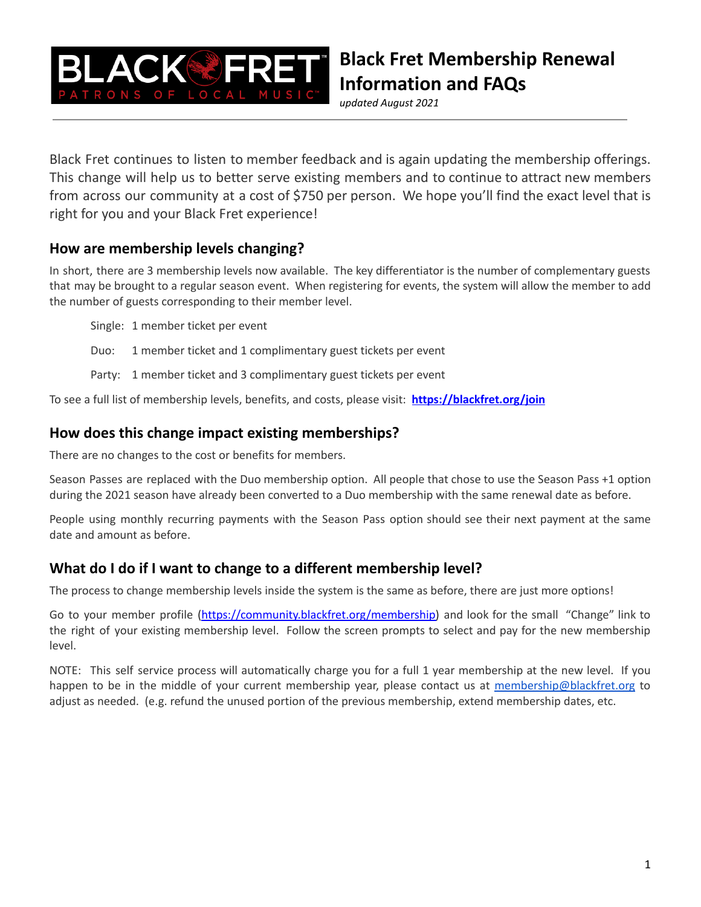

*updated August 2021*

Black Fret continues to listen to member feedback and is again updating the membership offerings. This change will help us to better serve existing members and to continue to attract new members from across our community at a cost of \$750 per person. We hope you'll find the exact level that is right for you and your Black Fret experience!

## **How are membership levels changing?**

In short, there are 3 membership levels now available. The key differentiator is the number of complementary guests that may be brought to a regular season event. When registering for events, the system will allow the member to add the number of guests corresponding to their member level.

Single: 1 member ticket per event

Duo: 1 member ticket and 1 complimentary guest tickets per event

Party: 1 member ticket and 3 complimentary guest tickets per event

To see a full list of membership levels, benefits, and costs, please visit: **<https://blackfret.org/join>**

#### **How does this change impact existing memberships?**

There are no changes to the cost or benefits for members.

Season Passes are replaced with the Duo membership option. All people that chose to use the Season Pass +1 option during the 2021 season have already been converted to a Duo membership with the same renewal date as before.

People using monthly recurring payments with the Season Pass option should see their next payment at the same date and amount as before.

#### **What do I do if I want to change to a different membership level?**

The process to change membership levels inside the system is the same as before, there are just more options!

Go to your member profile [\(https://community.blackfret.org/membership\)](https://community.blackfret.org/membership) and look for the small "Change" link to the right of your existing membership level. Follow the screen prompts to select and pay for the new membership level.

NOTE: This self service process will automatically charge you for a full 1 year membership at the new level. If you happen to be in the middle of your current membership year, please contact us at [membership@blackfret.org](mailto:membership@blackfret.org) to adjust as needed. (e.g. refund the unused portion of the previous membership, extend membership dates, etc.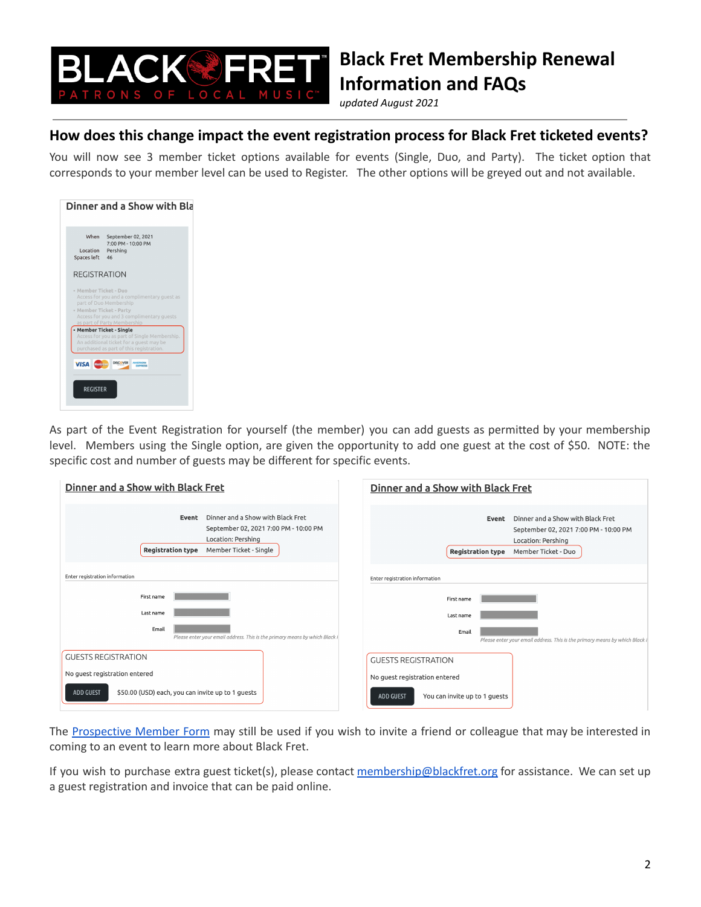

*updated August 2021*

### **How does this change impact the event registration process for Black Fret ticketed events?**

You will now see 3 member ticket options available for events (Single, Duo, and Party). The ticket option that corresponds to your member level can be used to Register. The other options will be greyed out and not available.



As part of the Event Registration for yourself (the member) you can add guests as permitted by your membership level. Members using the Single option, are given the opportunity to add one guest at the cost of \$50. NOTE: the specific cost and number of guests may be different for specific events.

| Dinner and a Show with Black Fret                                                                                                                               | Dinner and a Show with Black Fret                                                                                                                            |
|-----------------------------------------------------------------------------------------------------------------------------------------------------------------|--------------------------------------------------------------------------------------------------------------------------------------------------------------|
| Dinner and a Show with Black Fret<br>Event<br>September 02, 2021 7:00 PM - 10:00 PM<br>Location: Pershing<br><b>Registration type</b><br>Member Ticket - Single | Dinner and a Show with Black Fret<br>Event<br>September 02, 2021 7:00 PM - 10:00 PM<br>Location: Pershing<br><b>Registration type</b><br>Member Ticket - Duo |
| Enter registration information                                                                                                                                  | Enter registration information                                                                                                                               |
| First name                                                                                                                                                      | First name                                                                                                                                                   |
| Last name                                                                                                                                                       | Last name                                                                                                                                                    |
| Email<br>Please enter your email address. This is the primary means by which Black F                                                                            | Email<br>Please enter your email address. This is the primary means by which Black                                                                           |
| <b>GUESTS REGISTRATION</b>                                                                                                                                      | <b>GUESTS REGISTRATION</b>                                                                                                                                   |
| No guest registration entered                                                                                                                                   | No guest registration entered                                                                                                                                |
| ADD GUEST<br>\$50.00 (USD) each, you can invite up to 1 guests                                                                                                  | <b>ADD GUEST</b><br>You can invite up to 1 quests                                                                                                            |

The [Prospective](http://blackfret.org/newmember) Member Form may still be used if you wish to invite a friend or colleague that may be interested in coming to an event to learn more about Black Fret.

If you wish to purchase extra guest ticket(s), please contact [membership@blackfret.org](mailto:membership@blackfret.org) for assistance. We can set up a guest registration and invoice that can be paid online.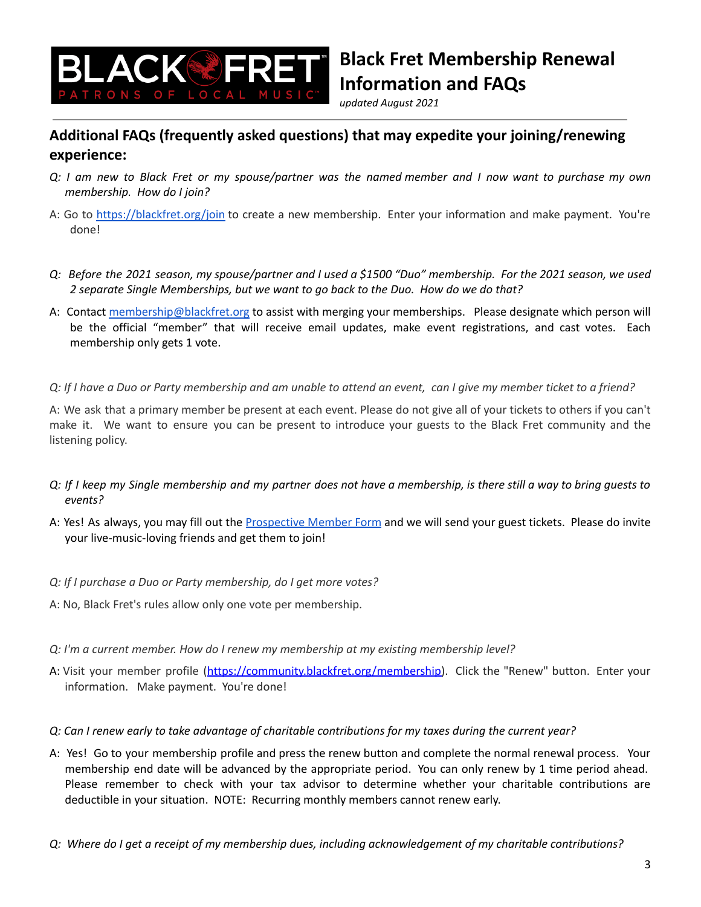

*updated August 2021*

## **Additional FAQs (frequently asked questions) that may expedite your joining/renewing experience:**

- Q: I am new to Black Fret or my spouse/partner was the named member and I now want to purchase my own *membership. How do I join?*
- A: Go to <https://blackfret.org/join> to create a new membership. Enter your information and make payment. You're done!
- Q: Before the 2021 season, my spouse/partner and I used a \$1500 "Duo" membership. For the 2021 season, we used *2 separate Single Memberships, but we want to go back to the Duo. How do we do that?*
- A: Contact [membership@blackfret.org](mailto:membership@blackfret.org) to assist with merging your memberships. Please designate which person will be the official "member" that will receive email updates, make event registrations, and cast votes. Each membership only gets 1 vote.
- Q: If I have a Duo or Party membership and am unable to attend an event, can I give my member ticket to a friend?

A: We ask that a primary member be present at each event. Please do not give all of your tickets to others if you can't make it. We want to ensure you can be present to introduce your guests to the Black Fret community and the listening policy.

- Q: If I keep my Single membership and my partner does not have a membership, is there still a way to bring guests to *events?*
- A: Yes! As always, you may fill out the [Prospective](http://blackfret.org/newmember) Member Form and we will send your guest tickets. Please do invite your live-music-loving friends and get them to join!
- *Q: If I purchase a Duo or Party membership, do I get more votes?*
- A: No, Black Fret's rules allow only one vote per membership.
- *Q: I'm a current member. How do I renew my membership at my existing membership level?*
- A: Visit your member profile ([https://community.blackfret.org/membership\)](https://community.blackfret.org/membership). Click the "Renew" button. Enter your information. Make payment. You're done!
- Q: Can I renew early to take advantage of charitable contributions for my taxes during the current year?
- A: Yes! Go to your membership profile and press the renew button and complete the normal renewal process. Your membership end date will be advanced by the appropriate period. You can only renew by 1 time period ahead. Please remember to check with your tax advisor to determine whether your charitable contributions are deductible in your situation. NOTE: Recurring monthly members cannot renew early.
- Q: Where do I get a receipt of my membership dues, including acknowledgement of my charitable contributions?